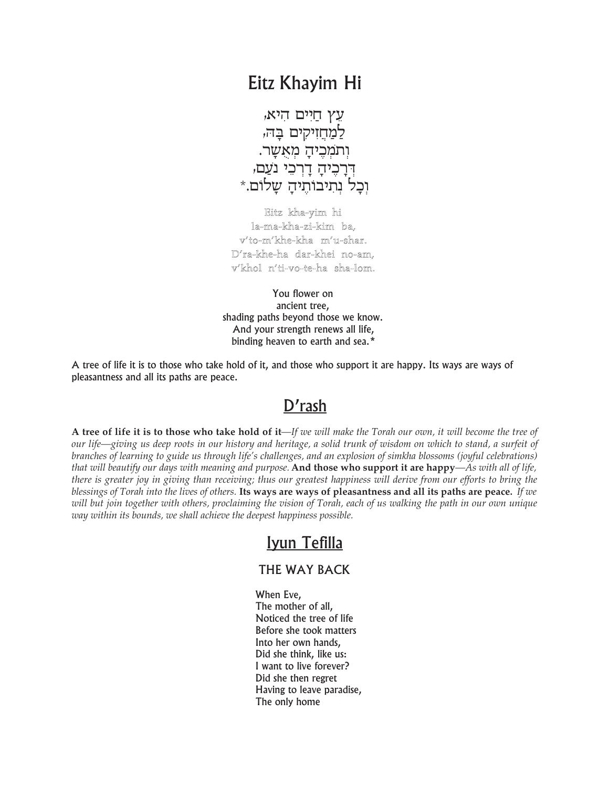## Eitz Khayim Hi

עֵץ חַיִּים הִיא, למחזיקים בַּהּ, וִתמִכֵיהַ מִאִשָר. דִּרַכֵּיהַ דַרִכֵּי נֹעַם, יִכַל נִתִיבוֹתֵיהַ שַלוֹם.\*

Eitz kha-yim hi la-ma-kha-zi-kim ba, v'to-m'khe-kha m'u-shar. D'ra-khe-ha dar-khei no-am, v'khol n'ti-vo-te-ha sha-lom.

You flower on ancient tree, shading paths beyond those we know. And your strength renews all life, binding heaven to earth and sea.\*

A tree of life it is to those who take hold of it, and those who support it are happy. Its ways are ways of pleasantness and all its paths are peace.

## D'rash

A tree of life it is to those who take hold of it—If we will make the Torah our own, it will become the tree of our life—giving us deep roots in our history and heritage, a solid trunk of wisdom on which to stand, a surfeit of branches of learning to guide us through life's challenges, and an explosion of simkha blossoms (joyful celebrations) *that will beautify our days with meaning and purpose.* **And those who support it are happy***—As with all of life,* there is greater joy in giving than receiving; thus our greatest happiness will derive from our efforts to bring the *blessings of Torah into the lives of others.* **Its ways are ways of pleasantness and all its paths are peace.** *If we* will but join together with others, proclaiming the vision of Torah, each of us walking the path in our own unique *way within its bounds, we shall achieve the deepest happiness possible.*

## Iyun Tefilla

## THE WAY BACK

When Eve, The mother of all, Noticed the tree of life Before she took matters Into her own hands, Did she think, like us: I want to live forever? Did she then regret Having to leave paradise, The only home